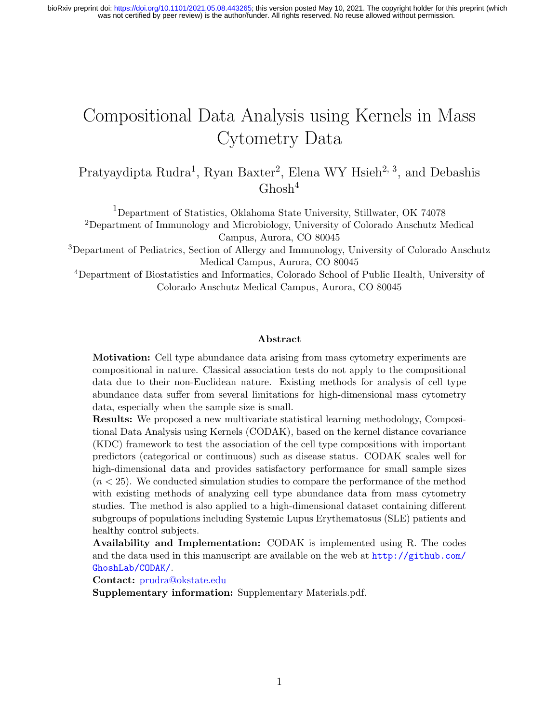# Compositional Data Analysis using Kernels in Mass Cytometry Data

Pratyaydipta Rudra<sup>1</sup>, Ryan Baxter<sup>2</sup>, Elena WY Hsieh<sup>2, 3</sup>, and Debashis  $G$ hosh $4$ 

<sup>1</sup>Department of Statistics, Oklahoma State University, Stillwater, OK 74078 <sup>2</sup>Department of Immunology and Microbiology, University of Colorado Anschutz Medical Campus, Aurora, CO 80045

<sup>3</sup>Department of Pediatrics, Section of Allergy and Immunology, University of Colorado Anschutz Medical Campus, Aurora, CO 80045

<sup>4</sup>Department of Biostatistics and Informatics, Colorado School of Public Health, University of Colorado Anschutz Medical Campus, Aurora, CO 80045

#### Abstract

Motivation: Cell type abundance data arising from mass cytometry experiments are compositional in nature. Classical association tests do not apply to the compositional data due to their non-Euclidean nature. Existing methods for analysis of cell type abundance data suffer from several limitations for high-dimensional mass cytometry data, especially when the sample size is small.

Results: We proposed a new multivariate statistical learning methodology, Compositional Data Analysis using Kernels (CODAK), based on the kernel distance covariance (KDC) framework to test the association of the cell type compositions with important predictors (categorical or continuous) such as disease status. CODAK scales well for high-dimensional data and provides satisfactory performance for small sample sizes  $(n < 25)$ . We conducted simulation studies to compare the performance of the method with existing methods of analyzing cell type abundance data from mass cytometry studies. The method is also applied to a high-dimensional dataset containing different subgroups of populations including Systemic Lupus Erythematosus (SLE) patients and healthy control subjects.

Availability and Implementation: CODAK is implemented using R. The codes and the data used in this manuscript are available on the web at [http://github.com/](http://github.com/GhoshLab/CODAK/) [GhoshLab/CODAK/](http://github.com/GhoshLab/CODAK/).

Contact: <prudra@okstate.edu>

Supplementary information: Supplementary Materials.pdf.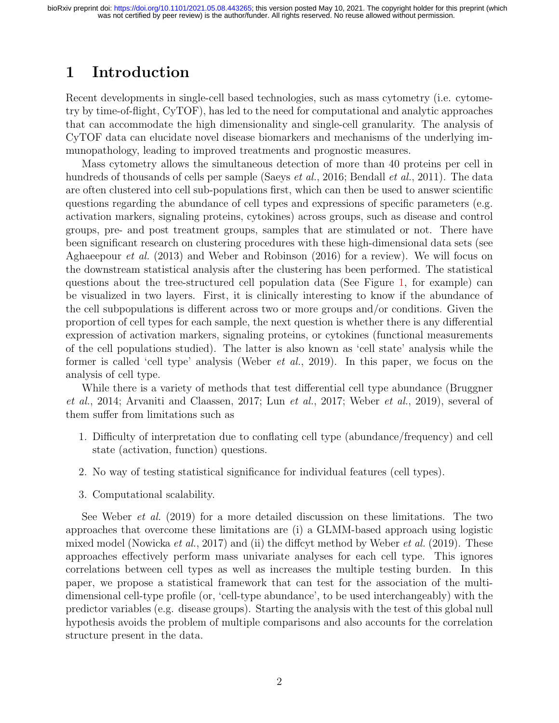## 1 Introduction

Recent developments in single-cell based technologies, such as mass cytometry (i.e. cytometry by time-of-flight, CyTOF), has led to the need for computational and analytic approaches that can accommodate the high dimensionality and single-cell granularity. The analysis of CyTOF data can elucidate novel disease biomarkers and mechanisms of the underlying immunopathology, leading to improved treatments and prognostic measures.

Mass cytometry allows the simultaneous detection of more than 40 proteins per cell in hundreds of thousands of cells per sample [\(Saeys](#page-15-0) *et al.*, [2016;](#page-15-0) [Bendall](#page-13-0) *et al.*, [2011\)](#page-13-0). The data are often clustered into cell sub-populations first, which can then be used to answer scientific questions regarding the abundance of cell types and expressions of specific parameters (e.g. activation markers, signaling proteins, cytokines) across groups, such as disease and control groups, pre- and post treatment groups, samples that are stimulated or not. There have been significant research on clustering procedures with these high-dimensional data sets (see [Aghaeepour](#page-13-1) et al. [\(2013\)](#page-13-1) and [Weber and Robinson](#page-16-0) [\(2016\)](#page-16-0) for a review). We will focus on the downstream statistical analysis after the clustering has been performed. The statistical questions about the tree-structured cell population data (See Figure [1,](#page-17-0) for example) can be visualized in two layers. First, it is clinically interesting to know if the abundance of the cell subpopulations is different across two or more groups and/or conditions. Given the proportion of cell types for each sample, the next question is whether there is any differential expression of activation markers, signaling proteins, or cytokines (functional measurements of the cell populations studied). The latter is also known as 'cell state' analysis while the former is called 'cell type' analysis [\(Weber](#page-16-1) et al., [2019\)](#page-16-1). In this paper, we focus on the analysis of cell type.

While there is a variety of methods that test differential cell type abundance [\(Bruggner](#page-13-2) [et al.](#page-13-2), [2014;](#page-13-2) [Arvaniti and Claassen, 2017;](#page-13-3) Lun [et al.](#page-14-0), [2017;](#page-14-0) [Weber](#page-16-1) et al., [2019\)](#page-16-1), several of them suffer from limitations such as

- 1. Difficulty of interpretation due to conflating cell type (abundance/frequency) and cell state (activation, function) questions.
- 2. No way of testing statistical significance for individual features (cell types).
- 3. Computational scalability.

See [Weber](#page-16-1) *et al.* [\(2019\)](#page-16-1) for a more detailed discussion on these limitations. The two approaches that overcome these limitations are (i) a GLMM-based approach using logistic mixed model [\(Nowicka](#page-14-1) *et al.*, [2017\)](#page-14-1) and (ii) the diffeyt method by [Weber](#page-16-1) *et al.* [\(2019\)](#page-16-1). These approaches effectively perform mass univariate analyses for each cell type. This ignores correlations between cell types as well as increases the multiple testing burden. In this paper, we propose a statistical framework that can test for the association of the multidimensional cell-type profile (or, 'cell-type abundance', to be used interchangeably) with the predictor variables (e.g. disease groups). Starting the analysis with the test of this global null hypothesis avoids the problem of multiple comparisons and also accounts for the correlation structure present in the data.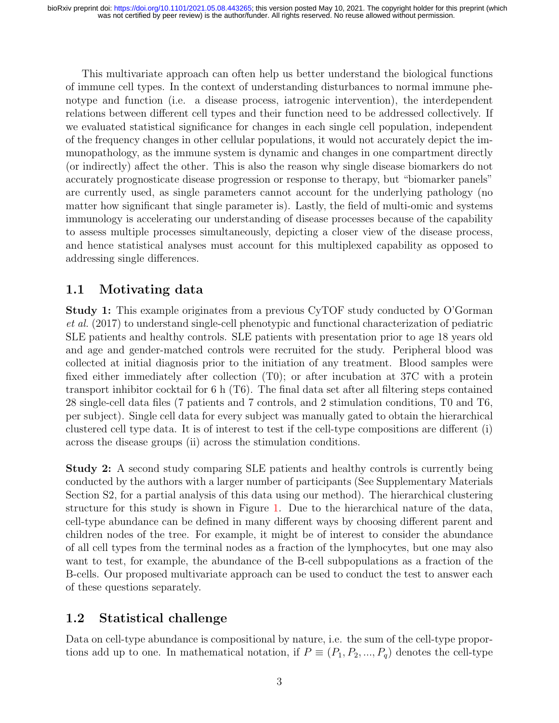This multivariate approach can often help us better understand the biological functions of immune cell types. In the context of understanding disturbances to normal immune phenotype and function (i.e. a disease process, iatrogenic intervention), the interdependent relations between different cell types and their function need to be addressed collectively. If we evaluated statistical significance for changes in each single cell population, independent of the frequency changes in other cellular populations, it would not accurately depict the immunopathology, as the immune system is dynamic and changes in one compartment directly (or indirectly) affect the other. This is also the reason why single disease biomarkers do not accurately prognosticate disease progression or response to therapy, but "biomarker panels" are currently used, as single parameters cannot account for the underlying pathology (no matter how significant that single parameter is). Lastly, the field of multi-omic and systems immunology is accelerating our understanding of disease processes because of the capability to assess multiple processes simultaneously, depicting a closer view of the disease process, and hence statistical analyses must account for this multiplexed capability as opposed to addressing single differences.

### <span id="page-2-0"></span>1.1 Motivating data

Study 1: This example originates from a previous CyTOF study conducted by [O'Gorman](#page-14-2) [et al.](#page-14-2) [\(2017\)](#page-14-2) to understand single-cell phenotypic and functional characterization of pediatric SLE patients and healthy controls. SLE patients with presentation prior to age 18 years old and age and gender-matched controls were recruited for the study. Peripheral blood was collected at initial diagnosis prior to the initiation of any treatment. Blood samples were fixed either immediately after collection (T0); or after incubation at 37C with a protein transport inhibitor cocktail for 6 h (T6). The final data set after all filtering steps contained 28 single-cell data files (7 patients and 7 controls, and 2 stimulation conditions, T0 and T6, per subject). Single cell data for every subject was manually gated to obtain the hierarchical clustered cell type data. It is of interest to test if the cell-type compositions are different (i) across the disease groups (ii) across the stimulation conditions.

Study 2: A second study comparing SLE patients and healthy controls is currently being conducted by the authors with a larger number of participants (See Supplementary Materials Section S2, for a partial analysis of this data using our method). The hierarchical clustering structure for this study is shown in Figure [1.](#page-17-0) Due to the hierarchical nature of the data, cell-type abundance can be defined in many different ways by choosing different parent and children nodes of the tree. For example, it might be of interest to consider the abundance of all cell types from the terminal nodes as a fraction of the lymphocytes, but one may also want to test, for example, the abundance of the B-cell subpopulations as a fraction of the B-cells. Our proposed multivariate approach can be used to conduct the test to answer each of these questions separately.

#### 1.2 Statistical challenge

Data on cell-type abundance is compositional by nature, i.e. the sum of the cell-type proportions add up to one. In mathematical notation, if  $P \equiv (P_1, P_2, ..., P_q)$  denotes the cell-type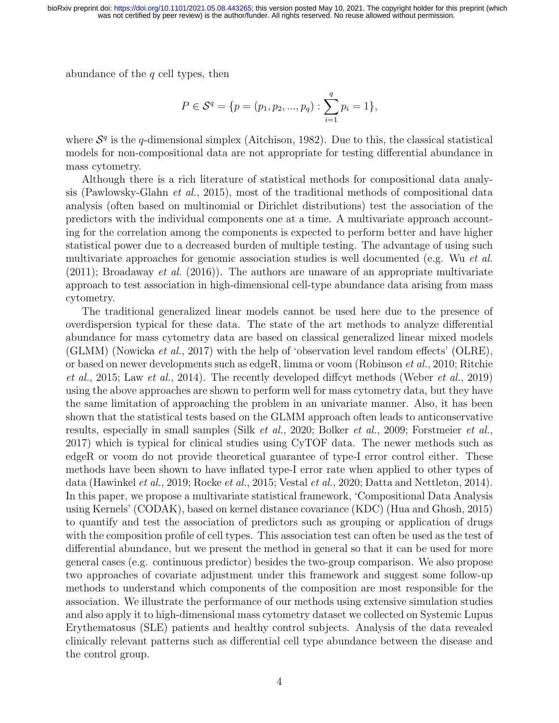abundance of the  $q$  cell types, then

$$
P \in \mathcal{S}^q = \{ p = (p_1, p_2, ..., p_q) : \sum_{i=1}^q p_i = 1 \},\
$$

where  $S<sup>q</sup>$  is the q-dimensional simplex [\(Aitchison, 1982\)](#page-13-4). Due to this, the classical statistical models for non-compositional data are not appropriate for testing differential abundance in mass cytometry.

Although there is a rich literature of statistical methods for compositional data analysis [\(Pawlowsky-Glahn](#page-14-3) et al., [2015\)](#page-14-3), most of the traditional methods of compositional data analysis (often based on multinomial or Dirichlet distributions) test the association of the predictors with the individual components one at a time. A multivariate approach accounting for the correlation among the components is expected to perform better and have higher statistical power due to a decreased burden of multiple testing. The advantage of using such multivariate approaches for genomic association studies is well documented (e.g. Wu [et al.](#page-16-2)  $(2011)$ ; [Broadaway](#page-13-5) *et al.*  $(2016)$ ). The authors are unaware of an appropriate multivariate approach to test association in high-dimensional cell-type abundance data arising from mass cytometry.

The traditional generalized linear models cannot be used here due to the presence of overdispersion typical for these data. The state of the art methods to analyze differential abundance for mass cytometry data are based on classical generalized linear mixed models (GLMM) [\(Nowicka](#page-14-1) et al., [2017\)](#page-14-1) with the help of 'observation level random effects' (OLRE), or based on newer developments such as edgeR, limma or voom [\(Robinson](#page-15-1) et al., [2010;](#page-15-1) [Ritchie](#page-14-4) [et al.](#page-14-4), [2015;](#page-14-4) Law [et al.](#page-14-5), [2014\)](#page-14-5). The recently developed diffcyt methods [\(Weber](#page-16-1) et al., [2019\)](#page-16-1) using the above approaches are shown to perform well for mass cytometry data, but they have the same limitation of approaching the problem in an univariate manner. Also, it has been shown that the statistical tests based on the GLMM approach often leads to anticonservative results, especially in small samples (Silk [et al.](#page-15-2), [2020;](#page-15-2) [Bolker](#page-13-6) et al., [2009;](#page-13-6) [Forstmeier](#page-13-7) et al., [2017\)](#page-13-7) which is typical for clinical studies using CyTOF data. The newer methods such as edgeR or voom do not provide theoretical guarantee of type-I error control either. These methods have been shown to have inflated type-I error rate when applied to other types of data [\(Hawinkel](#page-14-6) et al., [2019;](#page-14-6) [Rocke](#page-15-3) et al., [2015;](#page-15-3) [Vestal](#page-15-4) et al., [2020;](#page-15-4) [Datta and Nettleton, 2014\)](#page-13-8). In this paper, we propose a multivariate statistical framework, 'Compositional Data Analysis using Kernels' (CODAK), based on kernel distance covariance (KDC) [\(Hua and Ghosh, 2015\)](#page-14-7) to quantify and test the association of predictors such as grouping or application of drugs with the composition profile of cell types. This association test can often be used as the test of differential abundance, but we present the method in general so that it can be used for more general cases (e.g. continuous predictor) besides the two-group comparison. We also propose two approaches of covariate adjustment under this framework and suggest some follow-up methods to understand which components of the composition are most responsible for the association. We illustrate the performance of our methods using extensive simulation studies and also apply it to high-dimensional mass cytometry dataset we collected on Systemic Lupus Erythematosus (SLE) patients and healthy control subjects. Analysis of the data revealed clinically relevant patterns such as differential cell type abundance between the disease and the control group.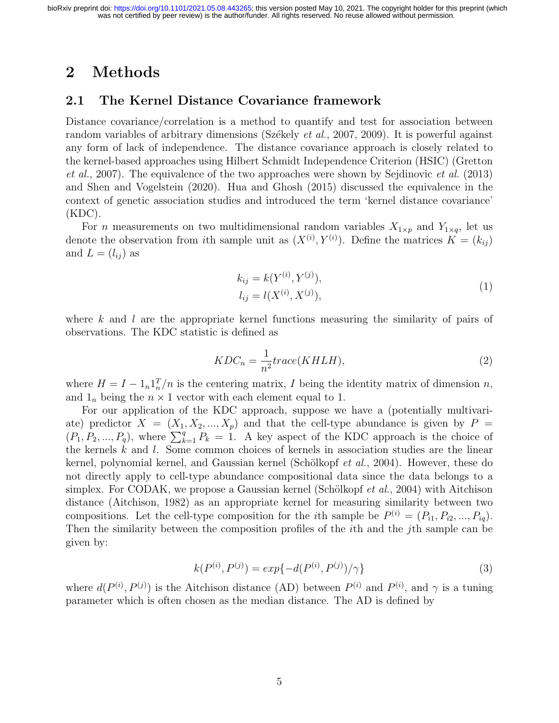### 2 Methods

#### 2.1 The Kernel Distance Covariance framework

Distance covariance/correlation is a method to quantify and test for association between random variables of arbitrary dimensions (Székely *et al.*, [2007,](#page-15-5) [2009\)](#page-15-6). It is powerful against any form of lack of independence. The distance covariance approach is closely related to the kernel-based approaches using Hilbert Schmidt Independence Criterion (HSIC) [\(Gretton](#page-14-8) [et al.](#page-14-8), [2007\)](#page-14-8). The equivalence of the two approaches were shown by [Sejdinovic](#page-15-7) et al. [\(2013\)](#page-15-7) and [Shen and Vogelstein](#page-15-8) [\(2020\)](#page-15-8). [Hua and Ghosh](#page-14-7) [\(2015\)](#page-14-7) discussed the equivalence in the context of genetic association studies and introduced the term 'kernel distance covariance'  $(KDC)$ .

For *n* measurements on two multidimensional random variables  $X_{1\times p}$  and  $Y_{1\times q}$ , let us denote the observation from *i*th sample unit as  $(X^{(i)}, Y^{(i)})$ . Define the matrices  $K = (k_{ij})$ and  $L = (l_{ij})$  as

$$
k_{ij} = k(Y^{(i)}, Y^{(j)}),
$$
  
\n
$$
l_{ij} = l(X^{(i)}, X^{(j)}),
$$
\n(1)

where k and l are the appropriate kernel functions measuring the similarity of pairs of observations. The KDC statistic is defined as

<span id="page-4-0"></span>
$$
KDC_n = \frac{1}{n^2}trace(KHLH),
$$
\n(2)

where  $H = I - 1<sub>n</sub>1<sub>n</sub><sup>T</sup>/n$  is the centering matrix, I being the identity matrix of dimension n, and  $1_n$  being the  $n \times 1$  vector with each element equal to 1.

For our application of the KDC approach, suppose we have a (potentially multivariate) predictor  $X = (X_1, X_2, ..., X_p)$  and that the cell-type abundance is given by  $P =$  $(P_1, P_2, ..., P_q)$ , where  $\sum_{k=1}^q P_k = 1$ . A key aspect of the KDC approach is the choice of the kernels  $k$  and  $l$ . Some common choices of kernels in association studies are the linear kernel, polynomial kernel, and Gaussian kernel (Schölkopf  $et al., 2004$ ). However, these do not directly apply to cell-type abundance compositional data since the data belongs to a simplex. For CODAK, we propose a Gaussian kernel (Schölkopf *et al.*, [2004\)](#page-15-9) with Aitchison distance [\(Aitchison, 1982\)](#page-13-4) as an appropriate kernel for measuring similarity between two compositions. Let the cell-type composition for the *i*th sample be  $P^{(i)} = (P_{i1}, P_{i2}, ..., P_{iq})$ . Then the similarity between the composition profiles of the *i*th and the *j*th sample can be given by:

<span id="page-4-1"></span>
$$
k(P^{(i)}, P^{(j)}) = exp{-d(P^{(i)}, P^{(j)})/\gamma}
$$
\n(3)

where  $d(P^{(i)}, P^{(j)})$  is the Aitchison distance (AD) between  $P^{(i)}$  and  $P^{(i)}$ , and  $\gamma$  is a tuning parameter which is often chosen as the median distance. The AD is defined by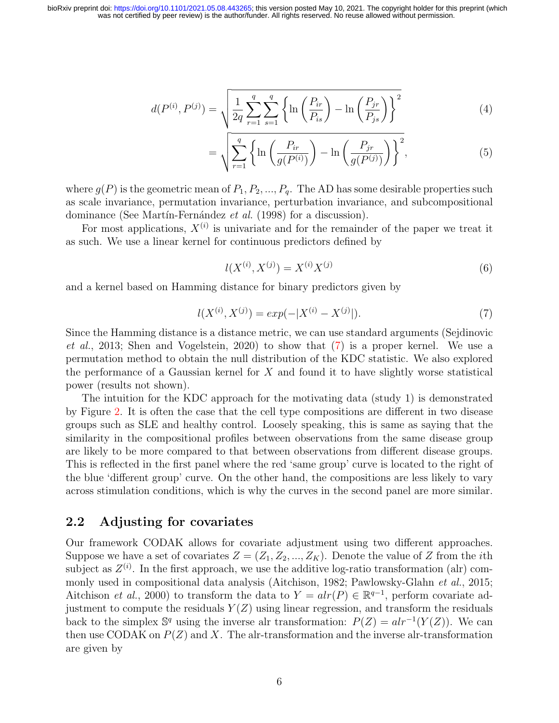$$
d(P^{(i)}, P^{(j)}) = \sqrt{\frac{1}{2q} \sum_{r=1}^{q} \sum_{s=1}^{q} \left\{ \ln \left( \frac{P_{ir}}{P_{is}} \right) - \ln \left( \frac{P_{jr}}{P_{js}} \right) \right\}^2}
$$
(4)

<span id="page-5-1"></span>
$$
= \sqrt{\sum_{r=1}^{q} \left\{ \ln \left( \frac{P_{ir}}{g(P^{(i)})} \right) - \ln \left( \frac{P_{jr}}{g(P^{(j)})} \right) \right\}^2}, \tag{5}
$$

where  $g(P)$  is the geometric mean of  $P_1, P_2, ..., P_q$ . The AD has some desirable properties such as scale invariance, permutation invariance, perturbation invariance, and subcompositional dominance (See Martín-Fernández et al. [\(1998\)](#page-14-9) for a discussion).

For most applications,  $X^{(i)}$  is univariate and for the remainder of the paper we treat it as such. We use a linear kernel for continuous predictors defined by

$$
l(X^{(i)}, X^{(j)}) = X^{(i)}X^{(j)}
$$
\n(6)

and a kernel based on Hamming distance for binary predictors given by

<span id="page-5-0"></span>
$$
l(X^{(i)}, X^{(j)}) = exp(-|X^{(i)} - X^{(j)}|). \tag{7}
$$

Since the Hamming distance is a distance metric, we can use standard arguments [\(Sejdinovic](#page-15-7) [et al.](#page-15-7), [2013;](#page-15-7) [Shen and Vogelstein, 2020\)](#page-15-8) to show that [\(7\)](#page-5-0) is a proper kernel. We use a permutation method to obtain the null distribution of the KDC statistic. We also explored the performance of a Gaussian kernel for  $X$  and found it to have slightly worse statistical power (results not shown).

The intuition for the KDC approach for the motivating data (study 1) is demonstrated by Figure [2.](#page-17-1) It is often the case that the cell type compositions are different in two disease groups such as SLE and healthy control. Loosely speaking, this is same as saying that the similarity in the compositional profiles between observations from the same disease group are likely to be more compared to that between observations from different disease groups. This is reflected in the first panel where the red 'same group' curve is located to the right of the blue 'different group' curve. On the other hand, the compositions are less likely to vary across stimulation conditions, which is why the curves in the second panel are more similar.

#### <span id="page-5-2"></span>2.2 Adjusting for covariates

Our framework CODAK allows for covariate adjustment using two different approaches. Suppose we have a set of covariates  $Z = (Z_1, Z_2, ..., Z_K)$ . Denote the value of Z from the *i*th subject as  $Z^{(i)}$ . In the first approach, we use the additive log-ratio transformation (alr) com-monly used in compositional data analysis [\(Aitchison, 1982;](#page-13-4) [Pawlowsky-Glahn](#page-14-3) et al., [2015;](#page-14-3) [Aitchison](#page-13-9) *et al.*, [2000\)](#page-13-9) to transform the data to  $Y = alr(P) \in \mathbb{R}^{q-1}$ , perform covariate adjustment to compute the residuals  $Y(Z)$  using linear regression, and transform the residuals back to the simplex  $\mathbb{S}^q$  using the inverse alr transformation:  $P(Z) = alr^{-1}(Y(Z))$ . We can then use CODAK on  $P(Z)$  and X. The alr-transformation and the inverse alr-transformation are given by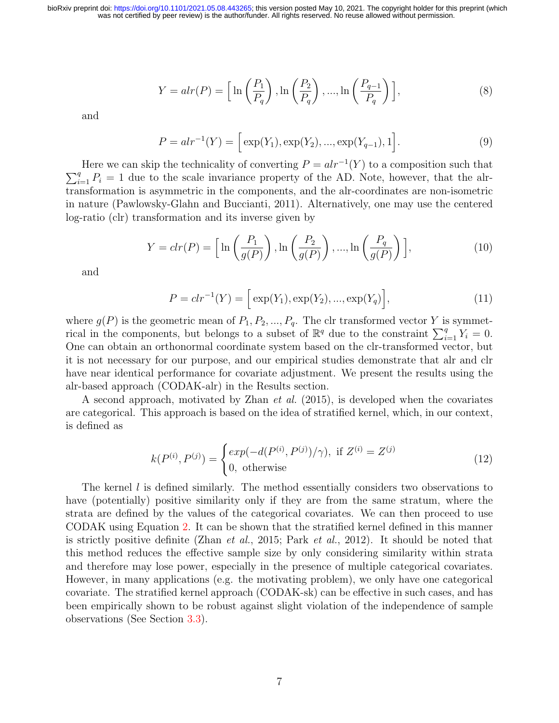$$
Y = alr(P) = \left[\ln\left(\frac{P_1}{P_q}\right), \ln\left(\frac{P_2}{P_q}\right), \dots, \ln\left(\frac{P_{q-1}}{P_q}\right)\right],\tag{8}
$$

and

$$
P = alr^{-1}(Y) = \left[ \exp(Y_1), \exp(Y_2), ..., \exp(Y_{q-1}), 1 \right]. \tag{9}
$$

Here we can skip the technicality of converting  $P = alr^{-1}(Y)$  to a composition such that  $\sum_{i=1}^{q} P_i = 1$  due to the scale invariance property of the AD. Note, however, that the alrtransformation is asymmetric in the components, and the alr-coordinates are non-isometric in nature [\(Pawlowsky-Glahn and Buccianti, 2011\)](#page-14-10). Alternatively, one may use the centered log-ratio (clr) transformation and its inverse given by

$$
Y = \operatorname{clr}(P) = \left[ \ln \left( \frac{P_1}{g(P)} \right), \ln \left( \frac{P_2}{g(P)} \right), \dots, \ln \left( \frac{P_q}{g(P)} \right) \right],\tag{10}
$$

and

$$
P = clr^{-1}(Y) = \left[ exp(Y_1), exp(Y_2), ..., exp(Y_q) \right],
$$
\n(11)

where  $g(P)$  is the geometric mean of  $P_1, P_2, ..., P_q$ . The clr transformed vector Y is symmetrical in the components, but belongs to a subset of  $\mathbb{R}^q$  due to the constraint  $\sum_{i=1}^q Y_i = 0$ . One can obtain an orthonormal coordinate system based on the clr-transformed vector, but it is not necessary for our purpose, and our empirical studies demonstrate that alr and clr have near identical performance for covariate adjustment. We present the results using the alr-based approach (CODAK-alr) in the Results section.

A second approach, motivated by [Zhan](#page-16-3) et al. [\(2015\)](#page-16-3), is developed when the covariates are categorical. This approach is based on the idea of stratified kernel, which, in our context, is defined as

$$
k(P^{(i)}, P^{(j)}) = \begin{cases} exp(-d(P^{(i)}, P^{(j)})/\gamma), & \text{if } Z^{(i)} = Z^{(j)} \\ 0, & \text{otherwise} \end{cases}
$$
(12)

The kernel l is defined similarly. The method essentially considers two observations to have (potentially) positive similarity only if they are from the same stratum, where the strata are defined by the values of the categorical covariates. We can then proceed to use CODAK using Equation [2.](#page-4-0) It can be shown that the stratified kernel defined in this manner is strictly positive definite (Zhan *[et al.](#page-14-11)*, [2015;](#page-16-3) Park *et al.*, [2012\)](#page-14-11). It should be noted that this method reduces the effective sample size by only considering similarity within strata and therefore may lose power, especially in the presence of multiple categorical covariates. However, in many applications (e.g. the motivating problem), we only have one categorical covariate. The stratified kernel approach (CODAK-sk) can be effective in such cases, and has been empirically shown to be robust against slight violation of the independence of sample observations (See Section [3.3\)](#page-9-0).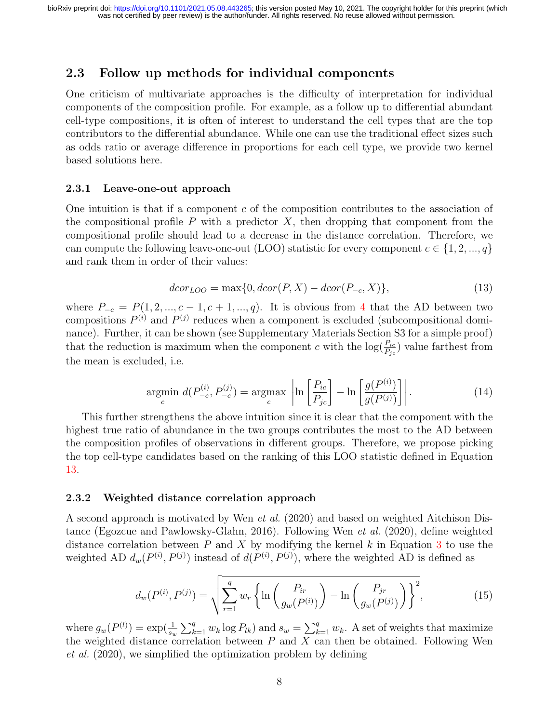#### 2.3 Follow up methods for individual components

One criticism of multivariate approaches is the difficulty of interpretation for individual components of the composition profile. For example, as a follow up to differential abundant cell-type compositions, it is often of interest to understand the cell types that are the top contributors to the differential abundance. While one can use the traditional effect sizes such as odds ratio or average difference in proportions for each cell type, we provide two kernel based solutions here.

#### 2.3.1 Leave-one-out approach

One intuition is that if a component  $c$  of the composition contributes to the association of the compositional profile  $P$  with a predictor  $X$ , then dropping that component from the compositional profile should lead to a decrease in the distance correlation. Therefore, we can compute the following leave-one-out (LOO) statistic for every component  $c \in \{1, 2, ..., q\}$ and rank them in order of their values:

<span id="page-7-0"></span>
$$
dcor_{LOO} = \max\{0, dcor(P, X) - dcor(P_{-c}, X)\},\tag{13}
$$

where  $P_{-c} = P(1, 2, ..., c - 1, c + 1, ..., q)$ . It is obvious from [4](#page-5-1) that the AD between two compositions  $P^{(i)}$  and  $P^{(j)}$  reduces when a component is excluded (subcompositional dominance). Further, it can be shown (see Supplementary Materials Section S3 for a simple proof) that the reduction is maximum when the component c with the  $\log(\frac{P_{ic}}{P_{jc}})$  value farthest from the mean is excluded, i.e.

$$
\underset{c}{\operatorname{argmin}}\ d(P_{-c}^{(i)}, P_{-c}^{(j)}) = \underset{c}{\operatorname{argmax}}\ \left| \ln \left[ \frac{P_{ic}}{P_{jc}} \right] - \ln \left[ \frac{g(P^{(i)})}{g(P^{(j)})} \right] \right|.
$$
 (14)

This further strengthens the above intuition since it is clear that the component with the highest true ratio of abundance in the two groups contributes the most to the AD between the composition profiles of observations in different groups. Therefore, we propose picking the top cell-type candidates based on the ranking of this LOO statistic defined in Equation [13.](#page-7-0)

#### 2.3.2 Weighted distance correlation approach

A second approach is motivated by Wen [et al.](#page-16-4) [\(2020\)](#page-16-4) and based on weighted Aitchison Distance [\(Egozcue and Pawlowsky-Glahn, 2016\)](#page-13-10). Following Wen [et al.](#page-16-4) [\(2020\)](#page-16-4), define weighted distance correlation between  $P$  and  $X$  by modifying the kernel  $k$  in Equation [3](#page-4-1) to use the weighted AD  $d_w(P^{(i)}, P^{(j)})$  instead of  $d(P^{(i)}, P^{(j)})$ , where the weighted AD is defined as

$$
d_w(P^{(i)}, P^{(j)}) = \sqrt{\sum_{r=1}^q w_r \left\{ \ln \left( \frac{P_{ir}}{g_w(P^{(i)})} \right) - \ln \left( \frac{P_{jr}}{g_w(P^{(j)})} \right) \right\}^2},\tag{15}
$$

where  $g_w(P^{(l)}) = \exp(\frac{1}{s_w} \sum_{k=1}^q w_k \log P_{lk})$  and  $s_w = \sum_{k=1}^q w_k$ . A set of weights that maximize the weighted distance correlation between  $P$  and  $X$  can then be obtained. Following [Wen](#page-16-4) [et al.](#page-16-4) [\(2020\)](#page-16-4), we simplified the optimization problem by defining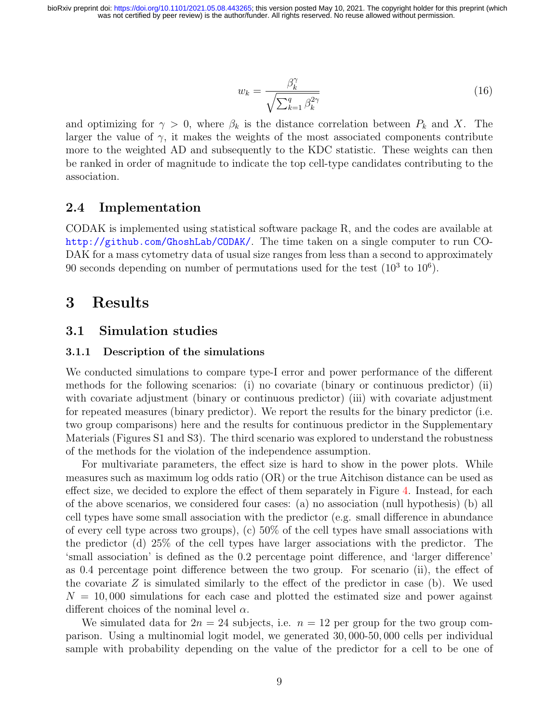$$
w_k = \frac{\beta_k^{\gamma}}{\sqrt{\sum_{k=1}^q \beta_k^{2\gamma}}}
$$
\n(16)

and optimizing for  $\gamma > 0$ , where  $\beta_k$  is the distance correlation between  $P_k$  and X. The larger the value of  $\gamma$ , it makes the weights of the most associated components contribute more to the weighted AD and subsequently to the KDC statistic. These weights can then be ranked in order of magnitude to indicate the top cell-type candidates contributing to the association.

#### 2.4 Implementation

CODAK is implemented using statistical software package R, and the codes are available at <http://github.com/GhoshLab/CODAK/>. The time taken on a single computer to run CO-DAK for a mass cytometry data of usual size ranges from less than a second to approximately 90 seconds depending on number of permutations used for the test  $(10^3 \text{ to } 10^6)$ .

### 3 Results

#### 3.1 Simulation studies

#### 3.1.1 Description of the simulations

We conducted simulations to compare type-I error and power performance of the different methods for the following scenarios: (i) no covariate (binary or continuous predictor) (ii) with covariate adjustment (binary or continuous predictor) (iii) with covariate adjustment for repeated measures (binary predictor). We report the results for the binary predictor (i.e. two group comparisons) here and the results for continuous predictor in the Supplementary Materials (Figures S1 and S3). The third scenario was explored to understand the robustness of the methods for the violation of the independence assumption.

For multivariate parameters, the effect size is hard to show in the power plots. While measures such as maximum log odds ratio (OR) or the true Aitchison distance can be used as effect size, we decided to explore the effect of them separately in Figure [4.](#page-18-0) Instead, for each of the above scenarios, we considered four cases: (a) no association (null hypothesis) (b) all cell types have some small association with the predictor (e.g. small difference in abundance of every cell type across two groups), (c) 50% of the cell types have small associations with the predictor (d) 25% of the cell types have larger associations with the predictor. The 'small association' is defined as the 0.2 percentage point difference, and 'larger difference' as 0.4 percentage point difference between the two group. For scenario (ii), the effect of the covariate  $Z$  is simulated similarly to the effect of the predictor in case (b). We used  $N = 10,000$  simulations for each case and plotted the estimated size and power against different choices of the nominal level  $\alpha$ .

We simulated data for  $2n = 24$  subjects, i.e.  $n = 12$  per group for the two group comparison. Using a multinomial logit model, we generated 30, 000-50, 000 cells per individual sample with probability depending on the value of the predictor for a cell to be one of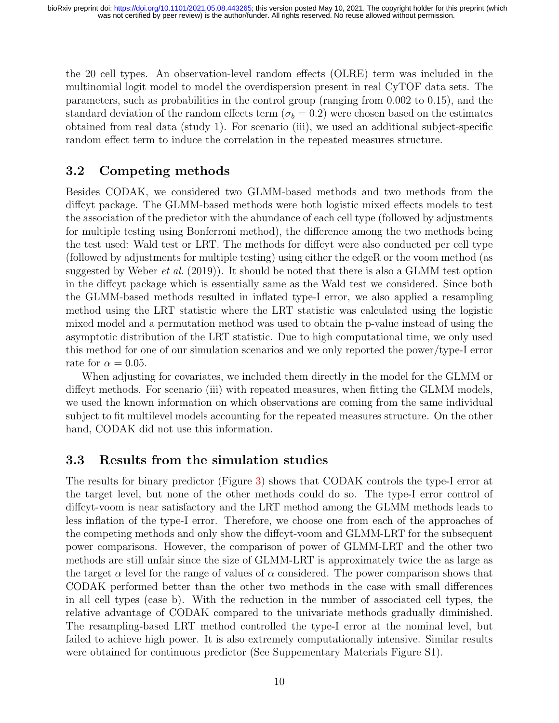the 20 cell types. An observation-level random effects (OLRE) term was included in the multinomial logit model to model the overdispersion present in real CyTOF data sets. The parameters, such as probabilities in the control group (ranging from 0.002 to 0.15), and the standard deviation of the random effects term ( $\sigma_b = 0.2$ ) were chosen based on the estimates obtained from real data (study 1). For scenario (iii), we used an additional subject-specific random effect term to induce the correlation in the repeated measures structure.

#### 3.2 Competing methods

Besides CODAK, we considered two GLMM-based methods and two methods from the diffcyt package. The GLMM-based methods were both logistic mixed effects models to test the association of the predictor with the abundance of each cell type (followed by adjustments for multiple testing using Bonferroni method), the difference among the two methods being the test used: Wald test or LRT. The methods for diffcyt were also conducted per cell type (followed by adjustments for multiple testing) using either the edgeR or the voom method (as suggested by [Weber](#page-16-1) *et al.* [\(2019\)](#page-16-1)). It should be noted that there is also a GLMM test option in the diffcyt package which is essentially same as the Wald test we considered. Since both the GLMM-based methods resulted in inflated type-I error, we also applied a resampling method using the LRT statistic where the LRT statistic was calculated using the logistic mixed model and a permutation method was used to obtain the p-value instead of using the asymptotic distribution of the LRT statistic. Due to high computational time, we only used this method for one of our simulation scenarios and we only reported the power/type-I error rate for  $\alpha = 0.05$ .

When adjusting for covariates, we included them directly in the model for the GLMM or diffcyt methods. For scenario (iii) with repeated measures, when fitting the GLMM models, we used the known information on which observations are coming from the same individual subject to fit multilevel models accounting for the repeated measures structure. On the other hand, CODAK did not use this information.

#### <span id="page-9-0"></span>3.3 Results from the simulation studies

The results for binary predictor (Figure [3\)](#page-18-1) shows that CODAK controls the type-I error at the target level, but none of the other methods could do so. The type-I error control of diffcyt-voom is near satisfactory and the LRT method among the GLMM methods leads to less inflation of the type-I error. Therefore, we choose one from each of the approaches of the competing methods and only show the diffcyt-voom and GLMM-LRT for the subsequent power comparisons. However, the comparison of power of GLMM-LRT and the other two methods are still unfair since the size of GLMM-LRT is approximately twice the as large as the target  $\alpha$  level for the range of values of  $\alpha$  considered. The power comparison shows that CODAK performed better than the other two methods in the case with small differences in all cell types (case b). With the reduction in the number of associated cell types, the relative advantage of CODAK compared to the univariate methods gradually diminished. The resampling-based LRT method controlled the type-I error at the nominal level, but failed to achieve high power. It is also extremely computationally intensive. Similar results were obtained for continuous predictor (See Suppementary Materials Figure S1).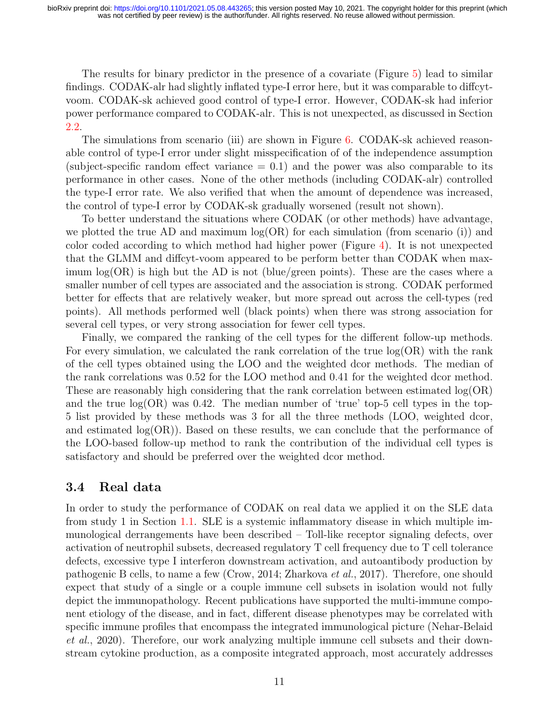The results for binary predictor in the presence of a covariate (Figure [5\)](#page-19-0) lead to similar findings. CODAK-alr had slightly inflated type-I error here, but it was comparable to diffcytvoom. CODAK-sk achieved good control of type-I error. However, CODAK-sk had inferior power performance compared to CODAK-alr. This is not unexpected, as discussed in Section [2.2.](#page-5-2)

The simulations from scenario (iii) are shown in Figure [6.](#page-19-1) CODAK-sk achieved reasonable control of type-I error under slight misspecification of of the independence assumption (subject-specific random effect variance  $= 0.1$ ) and the power was also comparable to its performance in other cases. None of the other methods (including CODAK-alr) controlled the type-I error rate. We also verified that when the amount of dependence was increased, the control of type-I error by CODAK-sk gradually worsened (result not shown).

To better understand the situations where CODAK (or other methods) have advantage, we plotted the true AD and maximum  $log(OR)$  for each simulation (from scenario (i)) and color coded according to which method had higher power (Figure [4\)](#page-18-0). It is not unexpected that the GLMM and diffcyt-voom appeared to be perform better than CODAK when maximum  $log(OR)$  is high but the AD is not (blue/green points). These are the cases where a smaller number of cell types are associated and the association is strong. CODAK performed better for effects that are relatively weaker, but more spread out across the cell-types (red points). All methods performed well (black points) when there was strong association for several cell types, or very strong association for fewer cell types.

Finally, we compared the ranking of the cell types for the different follow-up methods. For every simulation, we calculated the rank correlation of the true log(OR) with the rank of the cell types obtained using the LOO and the weighted dcor methods. The median of the rank correlations was 0.52 for the LOO method and 0.41 for the weighted dcor method. These are reasonably high considering that the rank correlation between estimated log(OR) and the true  $log(OR)$  was 0.42. The median number of 'true' top-5 cell types in the top-5 list provided by these methods was 3 for all the three methods (LOO, weighted dcor, and estimated  $log(\text{OR})$ ). Based on these results, we can conclude that the performance of the LOO-based follow-up method to rank the contribution of the individual cell types is satisfactory and should be preferred over the weighted dcor method.

#### 3.4 Real data

In order to study the performance of CODAK on real data we applied it on the SLE data from study 1 in Section [1.1.](#page-2-0) SLE is a systemic inflammatory disease in which multiple immunological derrangements have been described – Toll-like receptor signaling defects, over activation of neutrophil subsets, decreased regulatory T cell frequency due to T cell tolerance defects, excessive type I interferon downstream activation, and autoantibody production by pathogenic B cells, to name a few [\(Crow, 2014;](#page-13-11) [Zharkova](#page-16-5) et al., [2017\)](#page-16-5). Therefore, one should expect that study of a single or a couple immune cell subsets in isolation would not fully depict the immunopathology. Recent publications have supported the multi-immune component etiology of the disease, and in fact, different disease phenotypes may be correlated with specific immune profiles that encompass the integrated immunological picture [\(Nehar-Belaid](#page-14-12) [et al.](#page-14-12), [2020\)](#page-14-12). Therefore, our work analyzing multiple immune cell subsets and their downstream cytokine production, as a composite integrated approach, most accurately addresses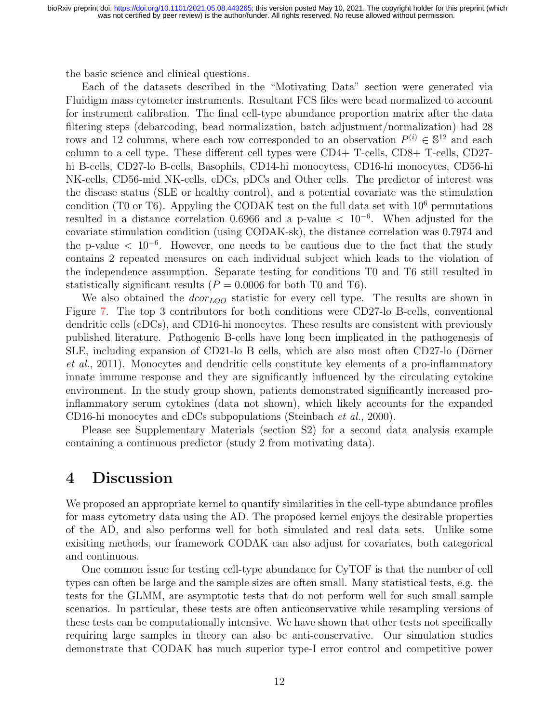the basic science and clinical questions.

Each of the datasets described in the "Motivating Data" section were generated via Fluidigm mass cytometer instruments. Resultant FCS files were bead normalized to account for instrument calibration. The final cell-type abundance proportion matrix after the data filtering steps (debarcoding, bead normalization, batch adjustment/normalization) had 28 rows and 12 columns, where each row corresponded to an observation  $P^{(i)} \in \mathbb{S}^{12}$  and each column to a cell type. These different cell types were CD4+ T-cells, CD8+ T-cells, CD27 hi B-cells, CD27-lo B-cells, Basophils, CD14-hi monocytess, CD16-hi monocytes, CD56-hi NK-cells, CD56-mid NK-cells, cDCs, pDCs and Other cells. The predictor of interest was the disease status (SLE or healthy control), and a potential covariate was the stimulation condition (T0 or T6). Appyling the CODAK test on the full data set with  $10^6$  permutations resulted in a distance correlation 0.6966 and a p-value  $\langle 10^{-6}$ . When adjusted for the covariate stimulation condition (using CODAK-sk), the distance correlation was 0.7974 and the p-value  $\langle 10^{-6}$ . However, one needs to be cautious due to the fact that the study contains 2 repeated measures on each individual subject which leads to the violation of the independence assumption. Separate testing for conditions T0 and T6 still resulted in statistically significant results  $(P = 0.0006$  for both T0 and T6).

We also obtained the  $dcor<sub>LOO</sub>$  statistic for every cell type. The results are shown in Figure [7.](#page-20-0) The top 3 contributors for both conditions were CD27-lo B-cells, conventional dendritic cells (cDCs), and CD16-hi monocytes. These results are consistent with previously published literature. Pathogenic B-cells have long been implicated in the pathogenesis of SLE, including expansion of CD21-lo B cells, which are also most often CD27-lo (Dörner [et al.](#page-13-12), [2011\)](#page-13-12). Monocytes and dendritic cells constitute key elements of a pro-inflammatory innate immune response and they are significantly influenced by the circulating cytokine environment. In the study group shown, patients demonstrated significantly increased proinflammatory serum cytokines (data not shown), which likely accounts for the expanded CD16-hi monocytes and cDCs subpopulations [\(Steinbach](#page-15-10) et al., [2000\)](#page-15-10).

Please see Supplementary Materials (section S2) for a second data analysis example containing a continuous predictor (study 2 from motivating data).

#### 4 Discussion

We proposed an appropriate kernel to quantify similarities in the cell-type abundance profiles for mass cytometry data using the AD. The proposed kernel enjoys the desirable properties of the AD, and also performs well for both simulated and real data sets. Unlike some exisiting methods, our framework CODAK can also adjust for covariates, both categorical and continuous.

One common issue for testing cell-type abundance for CyTOF is that the number of cell types can often be large and the sample sizes are often small. Many statistical tests, e.g. the tests for the GLMM, are asymptotic tests that do not perform well for such small sample scenarios. In particular, these tests are often anticonservative while resampling versions of these tests can be computationally intensive. We have shown that other tests not specifically requiring large samples in theory can also be anti-conservative. Our simulation studies demonstrate that CODAK has much superior type-I error control and competitive power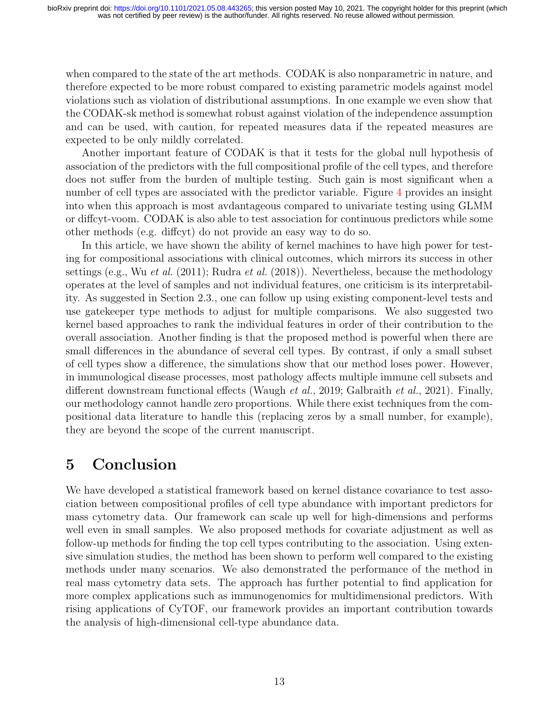when compared to the state of the art methods. CODAK is also nonparametric in nature, and therefore expected to be more robust compared to existing parametric models against model violations such as violation of distributional assumptions. In one example we even show that the CODAK-sk method is somewhat robust against violation of the independence assumption and can be used, with caution, for repeated measures data if the repeated measures are expected to be only mildly correlated.

Another important feature of CODAK is that it tests for the global null hypothesis of association of the predictors with the full compositional profile of the cell types, and therefore does not suffer from the burden of multiple testing. Such gain is most significant when a number of cell types are associated with the predictor variable. Figure [4](#page-18-0) provides an insight into when this approach is most avdantageous compared to univariate testing using GLMM or diffcyt-voom. CODAK is also able to test association for continuous predictors while some other methods (e.g. diffcyt) do not provide an easy way to do so.

In this article, we have shown the ability of kernel machines to have high power for testing for compositional associations with clinical outcomes, which mirrors its success in other settings (e.g., Wu *[et al.](#page-16-2)* [\(2011\)](#page-16-2); [Rudra](#page-15-11) *et al.* [\(2018\)](#page-15-11)). Nevertheless, because the methodology operates at the level of samples and not individual features, one criticism is its interpretability. As suggested in Section 2.3., one can follow up using existing component-level tests and use gatekeeper type methods to adjust for multiple comparisons. We also suggested two kernel based approaches to rank the individual features in order of their contribution to the overall association. Another finding is that the proposed method is powerful when there are small differences in the abundance of several cell types. By contrast, if only a small subset of cell types show a difference, the simulations show that our method loses power. However, in immunological disease processes, most pathology affects multiple immune cell subsets and different downstream functional effects [\(Waugh](#page-15-12) et al., [2019;](#page-15-12) [Galbraith](#page-14-13) et al., [2021\)](#page-14-13). Finally, our methodology cannot handle zero proportions. While there exist techniques from the compositional data literature to handle this (replacing zeros by a small number, for example), they are beyond the scope of the current manuscript.

## 5 Conclusion

We have developed a statistical framework based on kernel distance covariance to test association between compositional profiles of cell type abundance with important predictors for mass cytometry data. Our framework can scale up well for high-dimensions and performs well even in small samples. We also proposed methods for covariate adjustment as well as follow-up methods for finding the top cell types contributing to the association. Using extensive simulation studies, the method has been shown to perform well compared to the existing methods under many scenarios. We also demonstrated the performance of the method in real mass cytometry data sets. The approach has further potential to find application for more complex applications such as immunogenomics for multidimensional predictors. With rising applications of CyTOF, our framework provides an important contribution towards the analysis of high-dimensional cell-type abundance data.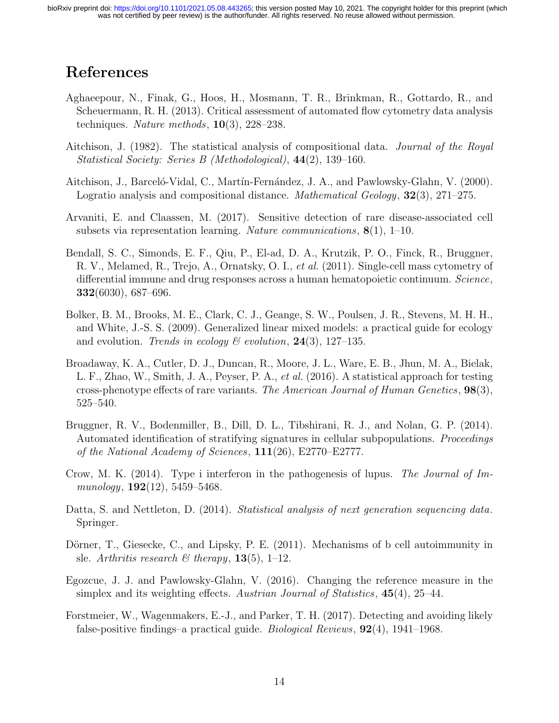## References

- <span id="page-13-1"></span>Aghaeepour, N., Finak, G., Hoos, H., Mosmann, T. R., Brinkman, R., Gottardo, R., and Scheuermann, R. H. (2013). Critical assessment of automated flow cytometry data analysis techniques. Nature methods,  $10(3)$ ,  $228-238$ .
- <span id="page-13-4"></span>Aitchison, J. (1982). The statistical analysis of compositional data. Journal of the Royal Statistical Society: Series B (Methodological), 44(2), 139–160.
- <span id="page-13-9"></span>Aitchison, J., Barceló-Vidal, C., Martín-Fernández, J. A., and Pawlowsky-Glahn, V. (2000). Logratio analysis and compositional distance. *Mathematical Geology*, **32**(3), 271–275.
- <span id="page-13-3"></span>Arvaniti, E. and Claassen, M. (2017). Sensitive detection of rare disease-associated cell subsets via representation learning. Nature communications,  $8(1)$ , 1–10.
- <span id="page-13-0"></span>Bendall, S. C., Simonds, E. F., Qiu, P., El-ad, D. A., Krutzik, P. O., Finck, R., Bruggner, R. V., Melamed, R., Trejo, A., Ornatsky, O. I., et al. (2011). Single-cell mass cytometry of differential immune and drug responses across a human hematopoietic continuum. Science, 332(6030), 687–696.
- <span id="page-13-6"></span>Bolker, B. M., Brooks, M. E., Clark, C. J., Geange, S. W., Poulsen, J. R., Stevens, M. H. H., and White, J.-S. S. (2009). Generalized linear mixed models: a practical guide for ecology and evolution. Trends in ecology  $\mathcal B$  evolution, 24(3), 127–135.
- <span id="page-13-5"></span>Broadaway, K. A., Cutler, D. J., Duncan, R., Moore, J. L., Ware, E. B., Jhun, M. A., Bielak, L. F., Zhao, W., Smith, J. A., Peyser, P. A., et al. (2016). A statistical approach for testing cross-phenotype effects of rare variants. The American Journal of Human Genetics,  $98(3)$ , 525–540.
- <span id="page-13-2"></span>Bruggner, R. V., Bodenmiller, B., Dill, D. L., Tibshirani, R. J., and Nolan, G. P. (2014). Automated identification of stratifying signatures in cellular subpopulations. *Proceedings* of the National Academy of Sciences, 111(26), E2770–E2777.
- <span id="page-13-11"></span>Crow, M. K. (2014). Type i interferon in the pathogenesis of lupus. The Journal of Immunology, **192**(12), 5459–5468.
- <span id="page-13-8"></span>Datta, S. and Nettleton, D. (2014). Statistical analysis of next generation sequencing data. Springer.
- <span id="page-13-12"></span>Dörner, T., Giesecke, C., and Lipsky, P. E. (2011). Mechanisms of b cell autoimmunity in sle. Arthritis research  $\mathcal B$  therapy, 13(5), 1–12.
- <span id="page-13-10"></span>Egozcue, J. J. and Pawlowsky-Glahn, V. (2016). Changing the reference measure in the simplex and its weighting effects. Austrian Journal of Statistics, 45(4), 25–44.
- <span id="page-13-7"></span>Forstmeier, W., Wagenmakers, E.-J., and Parker, T. H. (2017). Detecting and avoiding likely false-positive findings–a practical guide. Biological Reviews, 92(4), 1941–1968.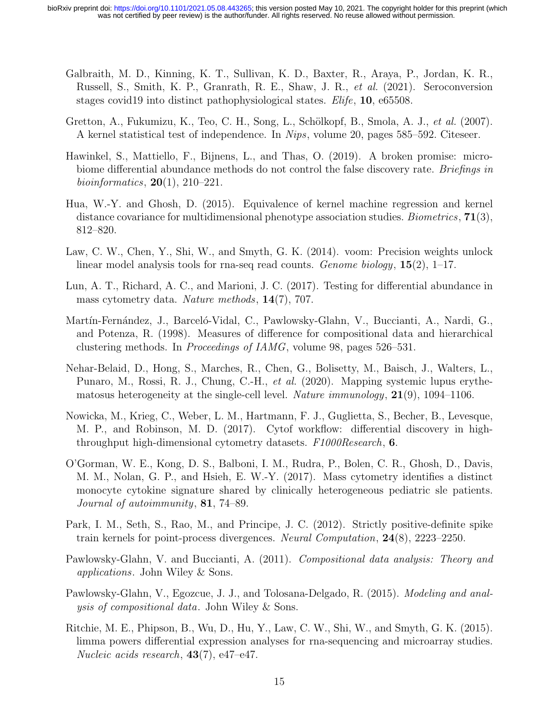- <span id="page-14-13"></span>Galbraith, M. D., Kinning, K. T., Sullivan, K. D., Baxter, R., Araya, P., Jordan, K. R., Russell, S., Smith, K. P., Granrath, R. E., Shaw, J. R., et al. (2021). Seroconversion stages covid19 into distinct pathophysiological states. *Elife*, **10**, e65508.
- <span id="page-14-8"></span>Gretton, A., Fukumizu, K., Teo, C. H., Song, L., Schölkopf, B., Smola, A. J., et al. (2007). A kernel statistical test of independence. In Nips, volume 20, pages 585–592. Citeseer.
- <span id="page-14-6"></span>Hawinkel, S., Mattiello, F., Bijnens, L., and Thas, O. (2019). A broken promise: microbiome differential abundance methods do not control the false discovery rate. Briefings in *bioinformatics*,  $20(1)$ ,  $210-221$ .
- <span id="page-14-7"></span>Hua, W.-Y. and Ghosh, D. (2015). Equivalence of kernel machine regression and kernel distance covariance for multidimensional phenotype association studies. *Biometrics*,  $71(3)$ , 812–820.
- <span id="page-14-5"></span>Law, C. W., Chen, Y., Shi, W., and Smyth, G. K. (2014). voom: Precision weights unlock linear model analysis tools for rna-seq read counts. Genome biology,  $15(2)$ ,  $1-17$ .
- <span id="page-14-0"></span>Lun, A. T., Richard, A. C., and Marioni, J. C. (2017). Testing for differential abundance in mass cytometry data. Nature methods, 14(7), 707.
- <span id="page-14-9"></span>Martín-Fernández, J., Barceló-Vidal, C., Pawlowsky-Glahn, V., Buccianti, A., Nardi, G., and Potenza, R. (1998). Measures of difference for compositional data and hierarchical clustering methods. In Proceedings of IAMG, volume 98, pages 526–531.
- <span id="page-14-12"></span>Nehar-Belaid, D., Hong, S., Marches, R., Chen, G., Bolisetty, M., Baisch, J., Walters, L., Punaro, M., Rossi, R. J., Chung, C.-H., et al. (2020). Mapping systemic lupus erythematosus heterogeneity at the single-cell level. Nature immunology,  $21(9)$ ,  $1094-1106$ .
- <span id="page-14-1"></span>Nowicka, M., Krieg, C., Weber, L. M., Hartmann, F. J., Guglietta, S., Becher, B., Levesque, M. P., and Robinson, M. D. (2017). Cytof workflow: differential discovery in highthroughput high-dimensional cytometry datasets. F1000Research, 6.
- <span id="page-14-2"></span>O'Gorman, W. E., Kong, D. S., Balboni, I. M., Rudra, P., Bolen, C. R., Ghosh, D., Davis, M. M., Nolan, G. P., and Hsieh, E. W.-Y. (2017). Mass cytometry identifies a distinct monocyte cytokine signature shared by clinically heterogeneous pediatric sle patients. Journal of autoimmunity, 81, 74–89.
- <span id="page-14-11"></span>Park, I. M., Seth, S., Rao, M., and Principe, J. C. (2012). Strictly positive-definite spike train kernels for point-process divergences. Neural Computation, 24(8), 2223–2250.
- <span id="page-14-10"></span>Pawlowsky-Glahn, V. and Buccianti, A. (2011). Compositional data analysis: Theory and applications. John Wiley & Sons.
- <span id="page-14-3"></span>Pawlowsky-Glahn, V., Egozcue, J. J., and Tolosana-Delgado, R. (2015). Modeling and analysis of compositional data. John Wiley & Sons.
- <span id="page-14-4"></span>Ritchie, M. E., Phipson, B., Wu, D., Hu, Y., Law, C. W., Shi, W., and Smyth, G. K. (2015). limma powers differential expression analyses for rna-sequencing and microarray studies. Nucleic acids research, 43(7), e47–e47.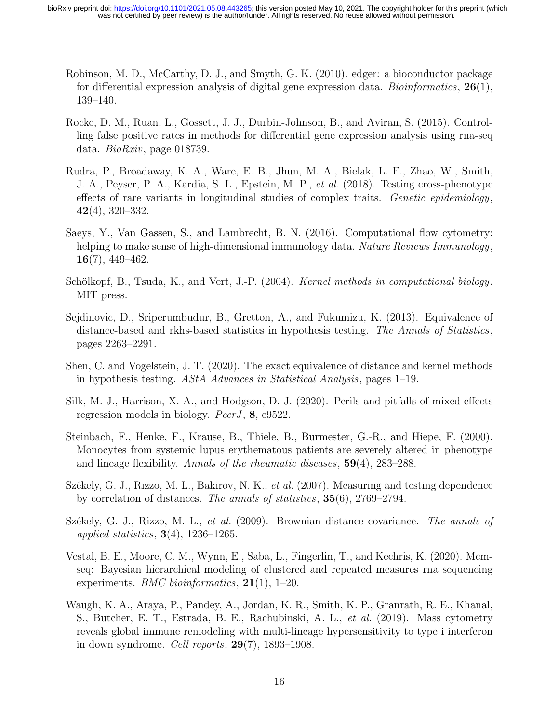- <span id="page-15-1"></span>Robinson, M. D., McCarthy, D. J., and Smyth, G. K. (2010). edger: a bioconductor package for differential expression analysis of digital gene expression data. *Bioinformatics*,  $26(1)$ , 139–140.
- <span id="page-15-3"></span>Rocke, D. M., Ruan, L., Gossett, J. J., Durbin-Johnson, B., and Aviran, S. (2015). Controlling false positive rates in methods for differential gene expression analysis using rna-seq data. BioRxiv, page 018739.
- <span id="page-15-11"></span>Rudra, P., Broadaway, K. A., Ware, E. B., Jhun, M. A., Bielak, L. F., Zhao, W., Smith, J. A., Peyser, P. A., Kardia, S. L., Epstein, M. P., et al. (2018). Testing cross-phenotype effects of rare variants in longitudinal studies of complex traits. Genetic epidemiology,  $42(4)$ , 320–332.
- <span id="page-15-0"></span>Saeys, Y., Van Gassen, S., and Lambrecht, B. N. (2016). Computational flow cytometry: helping to make sense of high-dimensional immunology data. Nature Reviews Immunology,  $16(7)$ , 449–462.
- <span id="page-15-9"></span>Schölkopf, B., Tsuda, K., and Vert, J.-P. (2004). *Kernel methods in computational biology*. MIT press.
- <span id="page-15-7"></span>Sejdinovic, D., Sriperumbudur, B., Gretton, A., and Fukumizu, K. (2013). Equivalence of distance-based and rkhs-based statistics in hypothesis testing. The Annals of Statistics, pages 2263–2291.
- <span id="page-15-8"></span>Shen, C. and Vogelstein, J. T. (2020). The exact equivalence of distance and kernel methods in hypothesis testing. AStA Advances in Statistical Analysis, pages 1–19.
- <span id="page-15-2"></span>Silk, M. J., Harrison, X. A., and Hodgson, D. J. (2020). Perils and pitfalls of mixed-effects regression models in biology. *PeerJ*, 8, e9522.
- <span id="page-15-10"></span>Steinbach, F., Henke, F., Krause, B., Thiele, B., Burmester, G.-R., and Hiepe, F. (2000). Monocytes from systemic lupus erythematous patients are severely altered in phenotype and lineage flexibility. Annals of the rheumatic diseases, 59(4), 283–288.
- <span id="page-15-5"></span>Székely, G. J., Rizzo, M. L., Bakirov, N. K., et al. (2007). Measuring and testing dependence by correlation of distances. The annals of statistics, 35(6), 2769–2794.
- <span id="page-15-6"></span>Székely, G. J., Rizzo, M. L., et al.  $(2009)$ . Brownian distance covariance. The annals of applied statistics,  $3(4)$ , 1236–1265.
- <span id="page-15-4"></span>Vestal, B. E., Moore, C. M., Wynn, E., Saba, L., Fingerlin, T., and Kechris, K. (2020). Mcmseq: Bayesian hierarchical modeling of clustered and repeated measures rna sequencing experiments. *BMC bioinformatics*,  $21(1)$ , 1–20.
- <span id="page-15-12"></span>Waugh, K. A., Araya, P., Pandey, A., Jordan, K. R., Smith, K. P., Granrath, R. E., Khanal, S., Butcher, E. T., Estrada, B. E., Rachubinski, A. L., et al. (2019). Mass cytometry reveals global immune remodeling with multi-lineage hypersensitivity to type i interferon in down syndrome. Cell reports,  $29(7)$ ,  $1893-1908$ .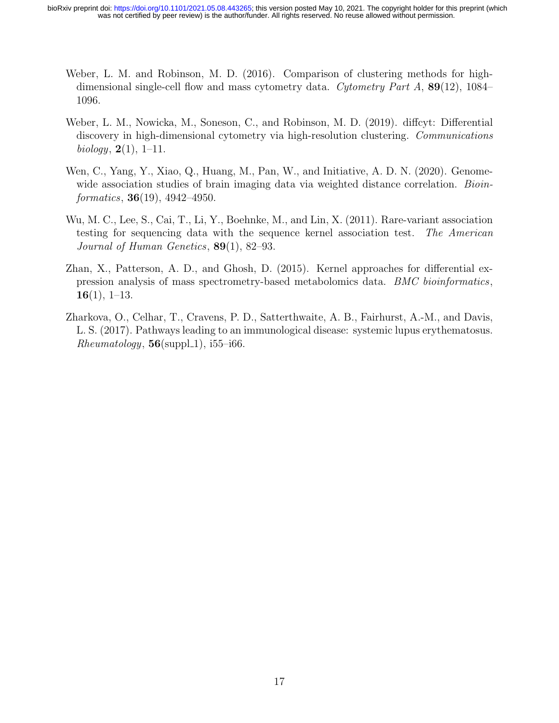- <span id="page-16-0"></span>Weber, L. M. and Robinson, M. D. (2016). Comparison of clustering methods for highdimensional single-cell flow and mass cytometry data. Cytometry Part A,  $89(12)$ , 1084– 1096.
- <span id="page-16-1"></span>Weber, L. M., Nowicka, M., Soneson, C., and Robinson, M. D. (2019). diffcyt: Differential discovery in high-dimensional cytometry via high-resolution clustering. Communications biology,  $2(1)$ , 1–11.
- <span id="page-16-4"></span>Wen, C., Yang, Y., Xiao, Q., Huang, M., Pan, W., and Initiative, A. D. N. (2020). Genomewide association studies of brain imaging data via weighted distance correlation. *Bioin*formatics, **36**(19), 4942–4950.
- <span id="page-16-2"></span>Wu, M. C., Lee, S., Cai, T., Li, Y., Boehnke, M., and Lin, X. (2011). Rare-variant association testing for sequencing data with the sequence kernel association test. The American Journal of Human Genetics, 89(1), 82–93.
- <span id="page-16-3"></span>Zhan, X., Patterson, A. D., and Ghosh, D. (2015). Kernel approaches for differential expression analysis of mass spectrometry-based metabolomics data. BMC bioinformatics,  $16(1), 1-13.$
- <span id="page-16-5"></span>Zharkova, O., Celhar, T., Cravens, P. D., Satterthwaite, A. B., Fairhurst, A.-M., and Davis, L. S. (2017). Pathways leading to an immunological disease: systemic lupus erythematosus.  $Rheumatology, 56(suppl.1), i55-i66.$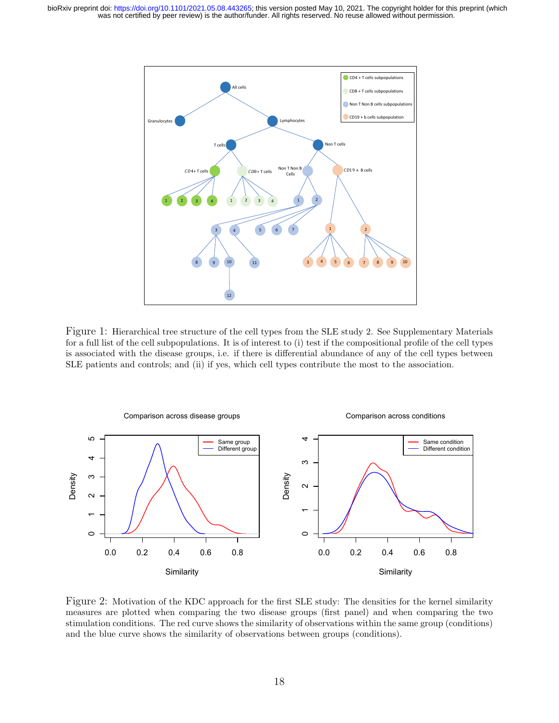<span id="page-17-0"></span>

Figure 1: Hierarchical tree structure of the cell types from the SLE study 2. See Supplementary Materials for a full list of the cell subpopulations. It is of interest to (i) test if the compositional profile of the cell types is associated with the disease groups, i.e. if there is differential abundance of any of the cell types between SLE patients and controls; and (ii) if yes, which cell types contribute the most to the association.

<span id="page-17-1"></span>

Figure 2: Motivation of the KDC approach for the first SLE study: The densities for the kernel similarity measures are plotted when comparing the two disease groups (first panel) and when comparing the two stimulation conditions. The red curve shows the similarity of observations within the same group (conditions) and the blue curve shows the similarity of observations between groups (conditions).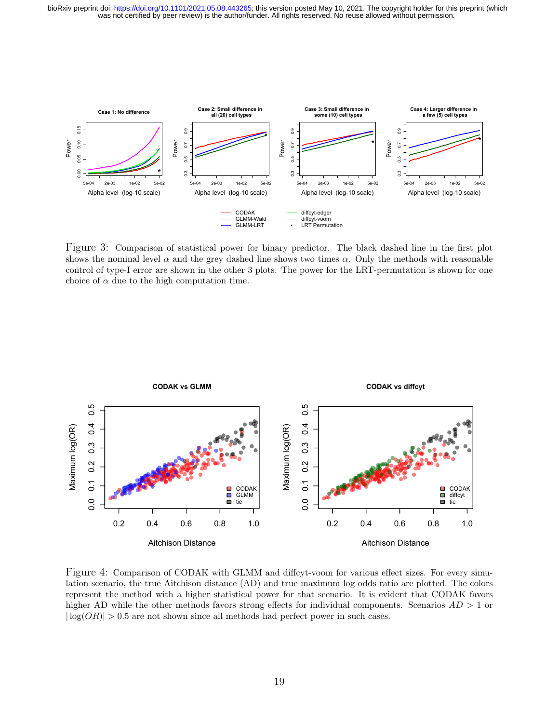<span id="page-18-1"></span>

Figure 3: Comparison of statistical power for binary predictor. The black dashed line in the first plot shows the nominal level  $\alpha$  and the grey dashed line shows two times  $\alpha$ . Only the methods with reasonable control of type-I error are shown in the other 3 plots. The power for the LRT-permutation is shown for one choice of  $\alpha$  due to the high computation time.

<span id="page-18-0"></span>

Figure 4: Comparison of CODAK with GLMM and diffcyt-voom for various effect sizes. For every simulation scenario, the true Aitchison distance (AD) and true maximum log odds ratio are plotted. The colors represent the method with a higher statistical power for that scenario. It is evident that CODAK favors higher AD while the other methods favors strong effects for individual components. Scenarios  $AD > 1$  or  $|\log(QR)| > 0.5$  are not shown since all methods had perfect power in such cases.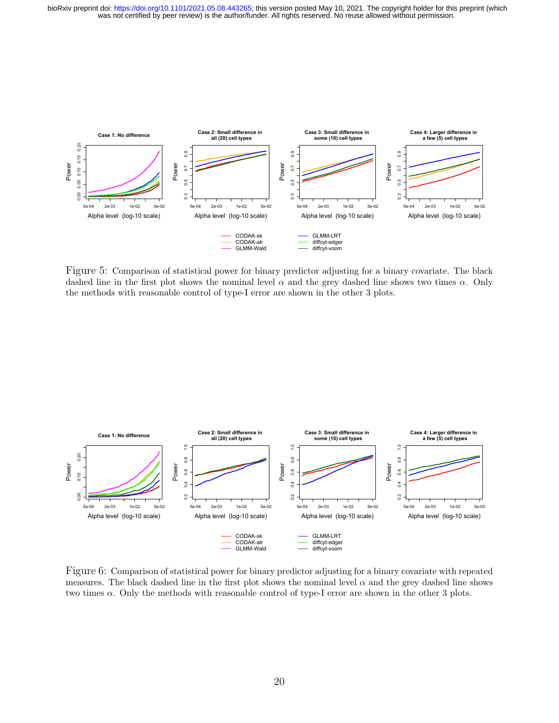<span id="page-19-0"></span>

Figure 5: Comparison of statistical power for binary predictor adjusting for a binary covariate. The black dashed line in the first plot shows the nominal level  $\alpha$  and the grey dashed line shows two times  $\alpha$ . Only the methods with reasonable control of type-I error are shown in the other 3 plots.

<span id="page-19-1"></span>

Figure 6: Comparison of statistical power for binary predictor adjusting for a binary covariate with repeated measures. The black dashed line in the first plot shows the nominal level  $\alpha$  and the grey dashed line shows two times  $\alpha$ . Only the methods with reasonable control of type-I error are shown in the other 3 plots.